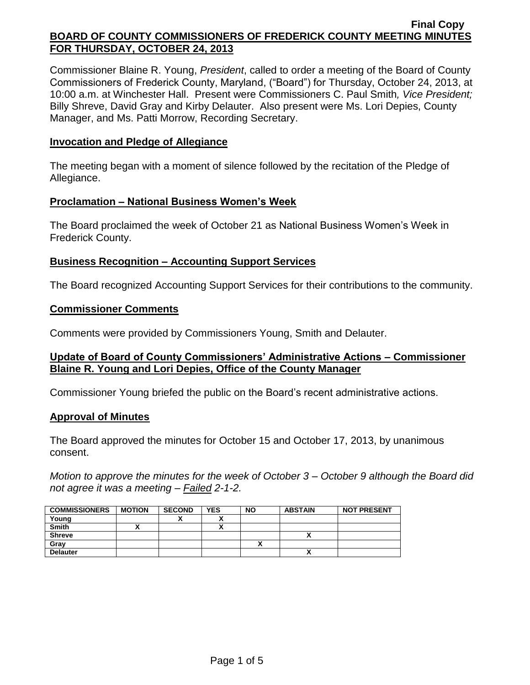Commissioner Blaine R. Young, *President*, called to order a meeting of the Board of County Commissioners of Frederick County, Maryland, ("Board") for Thursday, October 24, 2013, at 10:00 a.m. at Winchester Hall. Present were Commissioners C. Paul Smith*, Vice President;*  Billy Shreve, David Gray and Kirby Delauter. Also present were Ms. Lori Depies, County Manager, and Ms. Patti Morrow, Recording Secretary.

### **Invocation and Pledge of Allegiance**

The meeting began with a moment of silence followed by the recitation of the Pledge of Allegiance.

### **Proclamation – National Business Women's Week**

The Board proclaimed the week of October 21 as National Business Women's Week in Frederick County.

### **Business Recognition – Accounting Support Services**

The Board recognized Accounting Support Services for their contributions to the community.

## **Commissioner Comments**

Comments were provided by Commissioners Young, Smith and Delauter.

## **Update of Board of County Commissioners' Administrative Actions – Commissioner Blaine R. Young and Lori Depies, Office of the County Manager**

Commissioner Young briefed the public on the Board's recent administrative actions.

#### **Approval of Minutes**

The Board approved the minutes for October 15 and October 17, 2013, by unanimous consent.

*Motion to approve the minutes for the week of October 3 – October 9 although the Board did not agree it was a meeting – Failed 2-1-2.*

| <b>COMMISSIONERS</b> | <b>MOTION</b> | <b>SECOND</b> | <b>YES</b> | <b>NO</b> | <b>ABSTAIN</b> | <b>NOT PRESENT</b> |
|----------------------|---------------|---------------|------------|-----------|----------------|--------------------|
| Young                |               | "             |            |           |                |                    |
| <b>Smith</b>         |               |               |            |           |                |                    |
| <b>Shreve</b>        |               |               |            |           |                |                    |
| Gray                 |               |               |            |           |                |                    |
| <b>Delauter</b>      |               |               |            |           |                |                    |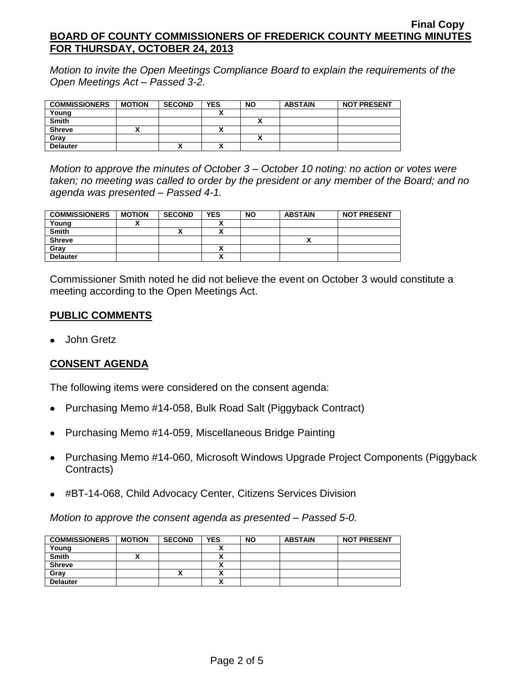*Motion to invite the Open Meetings Compliance Board to explain the requirements of the Open Meetings Act – Passed 3-2.*

| <b>COMMISSIONERS</b> | <b>MOTION</b> | <b>SECOND</b> | <b>YES</b> | <b>NO</b> | <b>ABSTAIN</b> | <b>NOT PRESENT</b> |
|----------------------|---------------|---------------|------------|-----------|----------------|--------------------|
| Young                |               |               |            |           |                |                    |
| <b>Smith</b>         |               |               |            |           |                |                    |
| <b>Shreve</b>        |               |               |            |           |                |                    |
| Grav                 |               |               |            |           |                |                    |
| <b>Delauter</b>      |               | Λ             |            |           |                |                    |

*Motion to approve the minutes of October 3 – October 10 noting: no action or votes were taken; no meeting was called to order by the president or any member of the Board; and no agenda was presented – Passed 4-1.*

| <b>COMMISSIONERS</b> | <b>MOTION</b> | <b>SECOND</b> | <b>YES</b>   | <b>NO</b> | <b>ABSTAIN</b> | <b>NOT PRESENT</b> |
|----------------------|---------------|---------------|--------------|-----------|----------------|--------------------|
| Young                |               |               |              |           |                |                    |
| <b>Smith</b>         |               | "             |              |           |                |                    |
| <b>Shreve</b>        |               |               |              |           |                |                    |
| Grav                 |               |               | $\mathbf{v}$ |           |                |                    |
| <b>Delauter</b>      |               |               | $\mathbf{r}$ |           |                |                    |

Commissioner Smith noted he did not believe the event on October 3 would constitute a meeting according to the Open Meetings Act.

## **PUBLIC COMMENTS**

John Gretz

# **CONSENT AGENDA**

The following items were considered on the consent agenda:

- Purchasing Memo #14-058, Bulk Road Salt (Piggyback Contract)  $\bullet$
- Purchasing Memo #14-059, Miscellaneous Bridge Painting
- Purchasing Memo #14-060, Microsoft Windows Upgrade Project Components (Piggyback Contracts)
- #BT-14-068, Child Advocacy Center, Citizens Services Division

*Motion to approve the consent agenda as presented – Passed 5-0.*

| <b>COMMISSIONERS</b> | <b>MOTION</b> | <b>SECOND</b> | <b>YES</b> | <b>NO</b> | <b>ABSTAIN</b> | <b>NOT PRESENT</b> |
|----------------------|---------------|---------------|------------|-----------|----------------|--------------------|
| Young                |               |               |            |           |                |                    |
| <b>Smith</b>         |               |               |            |           |                |                    |
| <b>Shreve</b>        |               |               |            |           |                |                    |
| Grav                 |               | ́             |            |           |                |                    |
| <b>Delauter</b>      |               |               |            |           |                |                    |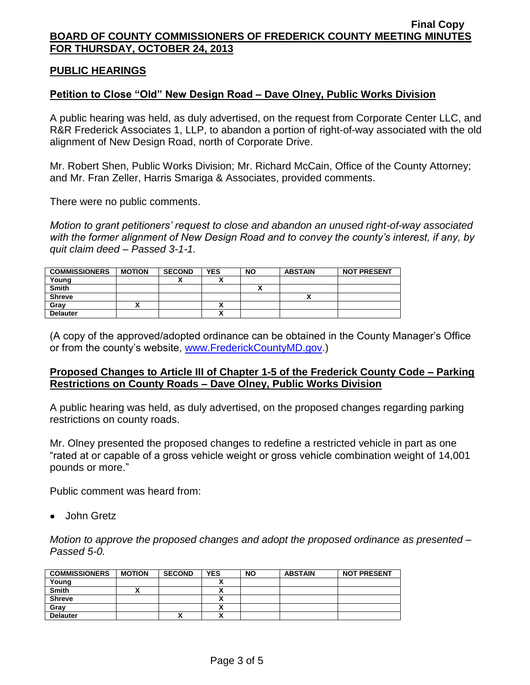## **PUBLIC HEARINGS**

### **Petition to Close "Old" New Design Road – Dave Olney, Public Works Division**

A public hearing was held, as duly advertised, on the request from Corporate Center LLC, and R&R Frederick Associates 1, LLP, to abandon a portion of right-of-way associated with the old alignment of New Design Road, north of Corporate Drive.

Mr. Robert Shen, Public Works Division; Mr. Richard McCain, Office of the County Attorney; and Mr. Fran Zeller, Harris Smariga & Associates, provided comments.

There were no public comments.

*Motion to grant petitioners' request to close and abandon an unused right-of-way associated with the former alignment of New Design Road and to convey the county's interest, if any, by quit claim deed – Passed 3-1-1.*

| <b>COMMISSIONERS</b> | <b>MOTION</b> | <b>SECOND</b> | <b>YES</b> | <b>NO</b> | <b>ABSTAIN</b> | <b>NOT PRESENT</b> |
|----------------------|---------------|---------------|------------|-----------|----------------|--------------------|
| Young                |               |               |            |           |                |                    |
| <b>Smith</b>         |               |               |            |           |                |                    |
| <b>Shreve</b>        |               |               |            |           |                |                    |
| Gray                 |               |               |            |           |                |                    |
| <b>Delauter</b>      |               |               |            |           |                |                    |

(A copy of the approved/adopted ordinance can be obtained in the County Manager's Office or from the county's website, [www.FrederickCountyMD.gov.](http://www.frederickcountymd.gov/))

#### **Proposed Changes to Article III of Chapter 1-5 of the Frederick County Code – Parking Restrictions on County Roads – Dave Olney, Public Works Division**

A public hearing was held, as duly advertised, on the proposed changes regarding parking restrictions on county roads.

Mr. Olney presented the proposed changes to redefine a restricted vehicle in part as one "rated at or capable of a gross vehicle weight or gross vehicle combination weight of 14,001 pounds or more."

Public comment was heard from:

• John Gretz

*Motion to approve the proposed changes and adopt the proposed ordinance as presented – Passed 5-0.*

| <b>COMMISSIONERS</b> | <b>MOTION</b> | <b>SECOND</b> | <b>YES</b>                           | <b>NO</b> | <b>ABSTAIN</b> | <b>NOT PRESENT</b> |
|----------------------|---------------|---------------|--------------------------------------|-----------|----------------|--------------------|
| Young                |               |               |                                      |           |                |                    |
| <b>Smith</b>         |               |               | ~                                    |           |                |                    |
| <b>Shreve</b>        |               |               |                                      |           |                |                    |
| Grav                 |               |               |                                      |           |                |                    |
| <b>Delauter</b>      |               | ↗             | $\ddot{\phantom{1}}$<br>$\mathbf{r}$ |           |                |                    |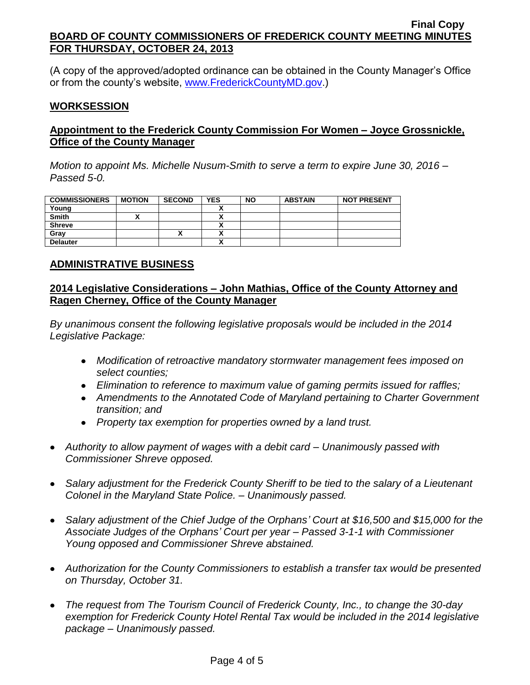(A copy of the approved/adopted ordinance can be obtained in the County Manager's Office or from the county's website, [www.FrederickCountyMD.gov.](http://www.frederickcountymd.gov/))

## **WORKSESSION**

# **Appointment to the Frederick County Commission For Women – Joyce Grossnickle, Office of the County Manager**

*Motion to appoint Ms. Michelle Nusum-Smith to serve a term to expire June 30, 2016 – Passed 5-0.*

| <b>COMMISSIONERS</b> | <b>MOTION</b> | <b>SECOND</b> | <b>YES</b> | <b>NO</b> | <b>ABSTAIN</b> | <b>NOT PRESENT</b> |
|----------------------|---------------|---------------|------------|-----------|----------------|--------------------|
| Young                |               |               |            |           |                |                    |
| <b>Smith</b>         |               |               | ^          |           |                |                    |
| <b>Shreve</b>        |               |               | ~          |           |                |                    |
| Grav                 |               | ́             | ^          |           |                |                    |
| <b>Delauter</b>      |               |               |            |           |                |                    |

### **ADMINISTRATIVE BUSINESS**

## **2014 Legislative Considerations – John Mathias, Office of the County Attorney and Ragen Cherney, Office of the County Manager**

*By unanimous consent the following legislative proposals would be included in the 2014 Legislative Package:*

- *Modification of retroactive mandatory stormwater management fees imposed on select counties;*
- *Elimination to reference to maximum value of gaming permits issued for raffles;*
- *Amendments to the Annotated Code of Maryland pertaining to Charter Government transition; and*
- *Property tax exemption for properties owned by a land trust.*
- *Authority to allow payment of wages with a debit card – Unanimously passed with Commissioner Shreve opposed.*
- *Salary adjustment for the Frederick County Sheriff to be tied to the salary of a Lieutenant Colonel in the Maryland State Police. – Unanimously passed.*
- *Salary adjustment of the Chief Judge of the Orphans' Court at \$16,500 and \$15,000 for the Associate Judges of the Orphans' Court per year – Passed 3-1-1 with Commissioner Young opposed and Commissioner Shreve abstained.*
- *Authorization for the County Commissioners to establish a transfer tax would be presented on Thursday, October 31.*
- *The request from The Tourism Council of Frederick County, Inc., to change the 30-day exemption for Frederick County Hotel Rental Tax would be included in the 2014 legislative package – Unanimously passed.*